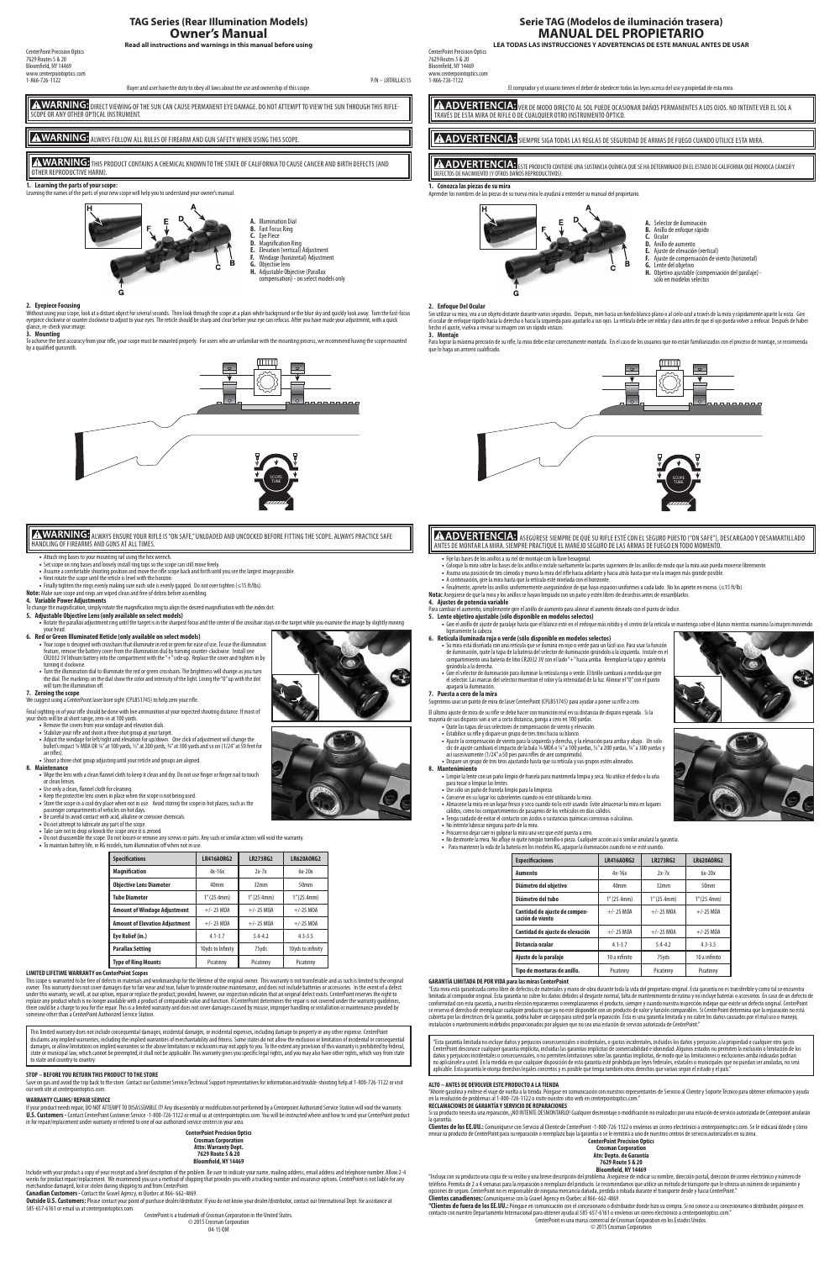# **TAG Series (Rear Illumination Models) Owner's Manual**

**Read all instructions and warnings in this manual before using**

CenterPoint Precision Optics 7629 Routes 5 & 20 Bloomfield, NY 14469 www.centerpointoptics.com<br>1-866-726-1122 1-866-726-1122 P/N – LRTRILLA515

A WARNING: DIRECT VIEWING OF THE SUN CAN CAUSE PERMANENT EYE DAMAGE. DO NOT ATTEMPT TO VIEW THE SUN THROUGH THIS RIFLE-SCOPE OR ANY OTHER OPTICAL INSTRUMENT.

**A WARNING:** ALWAYS FOLLOW ALL RULES OF FIREARM AND GUN SAFETY WHEN USING THIS SCOPE.

Buyer and user have the duty to obey all laws about the use and ownership of this scope.

# A WARNING: THIS PRODUCT CONTAINS A CHEMICAL KNOWN TO THE STATE OF CALIFORNIA TO CAUSE CANCER AND BIRTH DEFECTS (AND OTHER REPRODUCTIVE HARM).

# **1. Learning the parts of your scope:**

Learning the parts of your new scope will help you to understand your owner's manual.<br>In the parts of your new scope will help you to understand your owner's manual.

To achieve the best accuracy from your rifle, your scope must be mounted properly. For users who are unfamiliar with the mounting process, we recommend having the scope mounted by a qualified gunsmith.



#### **2. Eyepiece Focusing**

Without using your scope, look at a distant object for several seconds. Then look through the scope at a plain white background or the blue sky and quickly look away. Turn the fast-focus eyepiece clockwise or counter clockwise to adjust to your eyes. The reticle should be sharp and clear before your eye can refocus. After you have made your adjustment, with a quick ce, re-check your image

**5. Adjustable Objective Lens (only available on select models)** • Rotate the parallax adjustment ring until the target is in the sharpest focus and the center of the crosshair stays on the target while you examine the image by slightly moving

**3. Mounting** 



100 Yards **ALWARNING:** ALWAYS ENSURE YOUR RIFLE IS "ON SAFE," UNLOADED AND UNCOCKED BEFORE FITTING THE SCOPE. ALWAYS PRACTICE SAFE HANDLING OF FIREARMS AND GUNS AT ALL TIMES.

air rifles) **•** Shoot a three shot group adjusting until your reticle and groups are aligned.

- **•** Attach ring bases to your mounting rail using the hex wrench.
- 
- Set scope on ring bases and loosely install ring tops so the scope can still move freely.<br>• Assume a comfortable shooting position and move the rifle scope back and forth until you see the largest image possible.
- **•** Next rotate the scope until the reticle is level with the horizon.
- **•** Finally tighten the rings evenly making sure each side is evenly gapped. Do not over tighten (≤15 ft/lbs).
- **Note:** Make sure scope and rings are wiped clean and free of debris before assembling.

**4. Variable Power Adjustments**

To change the magnification, simply rotate the magnification ring to align the desired magnification with the index dot.

- your head. **6. Red or Green Illuminated Reticle (only available on select models)**
- 

**•** Your scope is designed with crosshairs that illuminate in red or green for ease of use. To use the illumination feature, remove the battery cover from the illumination dial by turning counter-clockwise. Install one CR2032 3V lithium battery into the compartment with the "+" side up. Replace the cover and tighten in by

- turning it clockwise. **•** Turn the illumination dial to illuminate the red or green crosshairs. The brightness will change as you turn the dial. The markings on the dial show the color and intensity of the light. Lining the "0" up with the dot
- will turn the illumination off. **7. Zeroing the scope**

**7. zeroing the stope**<br>We suggest using a CenterPoint laser bore sight (CPLBS1745) to help zero your rifle.

Final sighting-in of your rifle should be done with live ammunition at your expected shooting distance. If most of your shots will be at short range, zero-in at 100 yards. **•** Remove the covers from your windage and elevation dials.

- **•** Stabilize your rifle and shoot a three shot group at your target.
- **•** Adjust the windage for left/right and elevation for up/down. One click of adjustment will change the bullet's impact ¼ MOA OR ¼" at 100 yards, ½" at 200 yards, ¾" at 300 yards and so on (1/24" at 50 feet for

Include with your product a copy of your receipt and a brief description of the problem. Be sure to indicate your name, mailing address, email address and telephone number. Allow 2-4 weeks for product repair/replacement. We recommend you use a method of shipping that provides you with a tracking number and insurance options. CenterPoint is not liable for any<br>merchandise damaged, lost or stolen during s

**8. Maintenance**

Bloomfield, NY 14469 www.centerpointoptics.com

- **•** Wipe the lens with a clean flannel cloth to keep it clean and dry. Do not use finger or finger nail to touch or clean lenses.
- **•** Use only a clean, flannel cloth for cleaning.
- **•** Keep the protective lens covers in place when the scope is not being used. **•** Store the scope in a cool dry place when not in use. Avoid storing the scope in hot places, such as the
- passenger compartments of vehicles on hot days.
- Be careful to avoid contact with acid, alkaline or cor **•** Do not attempt to lubricate any part of the scope.
- **•** Take care not to drop or knock the scope once it is zeroed.
- **•** Do not disassemble the scope. Do not loosen or remove any screws or parts. Any such or similar actions will void the warranty. **•** To maintain battery life, in RG models, turn illumination off when not in use.

 $\bf A$  ADVERTENCIA: ver de modo directo al sol puede ocasionar daños permanentes a los ojos. No intente ver el sol a TRAVÉS DE ESTA MIRA DE RIFLE O DE CUALQUIER OTRO INSTRUMENTO ÓPTICO.

A ADVERTENCIA: SIEMPRE SIGA TODAS LAS REGLAS DE SEGURIDAD DE ARMAS DE FUEGO CUANDO UTILICE ESTA MIRA

**A ADVERTENCIA:** ESTE PRODUCTO CONTIENE UNA SUSTANCIA QUÍMICA QUE SE HA DETERMINADO EN EL ESTADO DE CALIFORNIA QUE PROVOCA CÁNCER Y DEFECTOS DE NACIMIENTO (Y OTROS DAÑOS REPRODUCTIVOS).

- 
- 
- **F.** Ajuste de compensación de viento (horizontal)
- **H.** Objetivo ajustable (compensación del paralaje) -
- sólo en módelos selectos



| <b>Objective Lens Diameter</b>        | 40 <sub>mm</sub>  | 32mm         | 50 <sub>mm</sub>  |
|---------------------------------------|-------------------|--------------|-------------------|
| <b>Tube Diameter</b>                  | 1''(25.4mm)       | 1''(25.4mm)  | 1''(25.4mm)       |
| <b>Amount of Windage Adjustment</b>   | $+/- 25$ MOA      | $+/- 25$ MOA | $+/-25$ MOA       |
| <b>Amount of Elevation Adjustment</b> | $+/- 25$ MOA      | $+/- 25$ MOA | $+/-25$ MOA       |
| Eye Relief (in.)                      | $4.1 - 3.7$       | $54-47$      | $4.3 - 3.5$       |
| <b>Parallax Setting</b>               | 10yds to Infinity | 75vds        | 10yds to infinity |
| <b>Type of Ring Mounts</b>            | Picatinny         | Picatinny    | Picatinny         |

Para lograr la máxima precisión de su rifle, la mira debe estar correctamente montada. En el caso de los usuarios que no están familiarizados con el proceso de montaje, se recomienda que lo haga un armero cualificado.

### **LIMITED LIFETIME WARRANTY on CenterPoint Scopes**

This scope is warranted to be free of defects in materials and workmanship for the lifetime of the original owner. This warranty is not transferable and as such is limited to the original owner. This warranty does not cover damages due to fair wear and tear, failure to provide routine maintenance, and does not include batteries or accessories. In the event of a defect under this warranty, we will, at our option, repair or replace the product; provided, however, our inspection indicates that an original defect exists. CenterPoint reserves the right to<br>replace any product which is no long someone other than a CenterPoint Authorized Service Station.

This limited warranty does not include consequential damages, incidental damages, or incidental expenses, including damage to property or any other expense. CenterPoint<br>disclaims any implied warranties, including the impli damages, or allow limitations on implied warranties so the above limitations or exclusions may not apply to you. To the extent any provision of this warranty is prohibited by federal state or municipal law, which cannot be preempted, it shall not be applicable. This warranty gives you specific legal rights, and you may also have other rights, which vary from state ate of manufactory, ......



ANTES DE MONTAR LA MIRA. SIEMPRE PRACTIQUE EL MANEJO SEGURO DE LAS ARMAS DE FUEGO EN TODO MOMENTO. **A ADVERTENCIA:** ASEGÚRESE SIEMPRE DE QUE SU RIFLE ESTÉ CON EL SEGURO PUESTO ("ON SAFE"), DESCARGADO Y DESAMARTILLADO

**7. – Puesta a cero de la mira**<br>Sugerimos usar un punto de mira de láser CenterPoint (CPLBS1745) para ayudar a poner su rifle a cero. El último ajuste de mira de su rifle se debe hacer con munición real en su distancia de disparo esperada. Si la

- mayoría de sus disparos van a ser a corta distancia, ponga a cero en 100 yardas. **•** Quite las tapas de sus selectores de compensación de viento y elevación.
	- **•** Estabilice su rifle y dispare un grupo de tres tiros hacia su blanco.
	- **•** Ajuste la compensación de viento para la izquierda y derecha, y la elevación para arriba y abajo. Un solo clic de ajuste cambiará el impacto de la bala ¼ MOA o ¼" a 100 yardas, ½" a 200 yardas, ¾" a 300 yardas y así sucesivamente (1/24" a 50 pies para rifles de aire comprimido). **•** Dispare un grupo de tres tiros ajustando hasta que su retícula y sus grupos estén alineados.
- **8. Mantenimiento**
	- **•** Limpie la lente con un paño limpio de franela para mantenerla limpia y seca. No utilice el dedo o la uña para tocar o limpiar las lentes. **•** Use sólo un paño de franela limpio para la limpieza.
	-
	- **•** Conserve en su lugar los cubrelentes cuando no esté utilizando la mira.
	- **•** Almacene la mira en un lugar fresco y seco cuando no lo esté usando. Evite almacenar la mira en lugares cálidos, como los compartimientos de pasajeros de los vehículos en días cálidos. **•** Tenga cuidado de evitar el contacto con ácidos o sustancias químicas corrosivas o alcalinas.
	-
	- **•** No intente lubricar ninguna parte de la mira. **•** Procure no dejar caer ni golpear la mira una vez que esté puesta a cero.
	- No desmonte la mira. No afloje ni quite ningún tornillo o pieza. Cualquier acción así o similar anulará la garantía.<br>• · Para mantener la vida de la batería en los modelos RG, apague la iluminación cuando no se esté usan

### **STOP – BEFORE YOU RETURN THIS PRODUCT TO THE STORE**

Save on gas and avoid the trip back to the store. Contact our Customer Service/Technical Support representatives for information and trouble-shooting help at 1-800-726-1122 or visit our web site at centerpointoptics.com.

### **WARRANTY CLAIMS/ REPAIR SERVICE**

If your product needs repair, DO NOT ATTEMPT TO DISASSEMBLE IT! Any disassembly or modification not performed by a Centerpoint Authorized Service Station will void the warranty. **U.S. Customers -** Contact CenterPoint Customer Service -1-800-726-1122 or email us at centerpointoptics.com. You will be instructed where and how to send your CenterPoint product in for repair/replacement under warranty or referred to one of our authorized service centers in your area.

> **CenterPoint Precision Optics Crosman Corporation Attn: Warranty Dept. 7629 Route 5 & 20 Bloomfield, NY 14469**

"Esta mira está garantizada como libre de defectos de materiales y mano de obra durante toda la vida del propietario original. Esta garantía no es transferible y como tal se encuentra<br>limitada al comprador original. Esta g conformidad con esta garantía, a nuestra elección repararemos o reemplazaremos el producto, siempre y cuando nuestra inspección indique que existe un defecto original. CenterPoint se reserva el derecho de reemplazar cualquier producto que ya no esté disponible con un producto de valor y función comparables. Si CenterPoint determina que la reparación no está cubierta por las directrices de la garantía, podría haber un cargo para usted por la reparación. Ésta es una garantía limitada y no cubre los daños causados por el mal uso o manejo, instalación o mantenimiento indebidos proporcionados por alguien que no sea una estación de servicio autorizada de CenterPoint."

"Esta garantía limitada no incluye daños y perjuicios consecuenciales o incidentales, o gastos incidentales, incluidos los daños y perjuicios a la propiedad o cualquier otro gasto. CenterPoint desconoce cualquier garantía implícita, incluidas las garantías implícitas de comerciabilidad e idoneidad. Algunos estados no permiten la exclusión o limitación de los daños y perjuicios incidentales o consecuenciales, o no permiten limitaciones sobre las garantías implícitas, de modo que las limitaciones o exclusiones arriba indicadas podrían<br>no aplicánsele a usted. En la medida en que

**Canadian Customers -** Contact the Gravel Agency, in Quebec at 866- 662-4869.

**Outside U.S. Customers:** Please contact your point of purchase dealer/distributor. If you do not know your dealer/distributor, contact our International Dept. for assistance at 585-657-6161 or email us at centerpointoptics.com.

CenterPoint is a trademark of Crosman Corporation in the United States. © 2015 Crosman Corporation 04-15 OM

# **Serie TAG (Modelos de iluminación trasera) MANUAL DEL PROPIETARIO LEA TODAS LAS INSTRUCCIONES Y ADVERTENCIAS DE ESTE MANUAL ANTES DE USAR**

"Incluya con su producto una copia de su recibo y una breve descripción del problema. Asegúrese de indicar su nombre, dirección postal, dirección de correo electrónico y número de teléfono. Permita de 2 a 4 semanas para la reparación o reemplazo del producto. Le recomendamos que utilice un método de transporte que le ofrezca un número de seguimiento y<br>opciones de seguro. CenterPoint no es responsabl

CenterPoint Precision Optics 7629 Routes 5 & 20

1-866-726-1122

El comprador y el usuario tienen el deber de obedecer todas las leyes acerca del uso y propiedad de esta mira.

### **1. Conozca las piezas de su mira**

Aprender los nombres de las piezas de su nueva mira le ayudará a entender su manual del propietario.

**B.** Anillo de enfoque rápido **D.** Anillo de aumento



### **2. Enfoque Del Ocular**

Sin utilizar su mira, vea a un objeto distante durante varios segundos. Después, mire hacia un fondo blanco plano o al cielo azul a través de la mira y rápidamente aparte la vista. Gire el ocular de enfoque rápido hacia la derecha o hacia la izquierda para ajustarlo a sus ojos. La retícula debe ser nítida y clara antes de que el ojo pueda volver a enfocar. Después de haber hecho el ajuste, vuelva a revisar su imagen con un rápido vistazo.

**3. Montaje** 

- **•** Fije las bases de los anillos a su riel de montaje con la llave hexagonal.
- Coloque la mira sobre las bases de los anillos e instale sueltamente las partes superiores de los anillos de modo que la mira aún pueda moverse libremente.<br>• Asuma una posición de tiro cómoda y mueva la mira del rifle ha
- **•** A continuación, gire la mira hasta que la retícula esté nivelada con el horizonte.
- **•** Finalmente, apriete los anillos uniformemente asegurándose de que haya espacios uniformes a cada lado. No los apriete en exceso. (≤15 ft/lb).
- Nota: Asegúrese de que la mira y los anillos se hayan limpiado con un paño y estén libres de desechos antes de ensamblarl
- **4. Ajustes de potencia variable**
- Para cambiar el aumento, simplemente gire el anillo de aumento para alinear el aumento deseado con el punto de índice.
- **5. Lente objetivo ajustable (sólo disponible en modelos selectos) •** Gire el anillo de ajuste de paralaje hasta que el blanco esté en el enfoque más nítido y el centro de la retícula se mantenga sobre el blanco mientras examina la imagen moviendo ligeramente la cabeza.

### **6. Retícula iluminada roja o verde (sólo disponible en modelos selectos)**

- **•** Su mira está diseñada con una retícula que se ilumina en rojo o verde para un fácil uso. Para usar la función de iluminación, quite la tapa de la batería del selector de iluminación girándolo a la izquierda. Instale en el compartimiento una batería de litio CR2032 3V con el lado "+" hacia arriba. Reemplace la tapa y apriétela girándola a la derecha.
- Gire el selector de iluminación para iluminar la retícula roja o verde. El brillo cambiará a medida que gire<br>el selector. Las marcas del selector muestran el color y la intensidad de la luz. Alinear el "0" con el punto apagará la iluminación.

# **7. Puesta a cero de la mira**

| i de la bateria en los modelos KG, apaque la lluminación cuando no se este usando. |                   |                 |                   |
|------------------------------------------------------------------------------------|-------------------|-----------------|-------------------|
| <b>Especificaciones</b>                                                            | <b>LR416AORG2</b> | <b>LR273RG2</b> | <b>LR620A0RG2</b> |
| Aumento                                                                            | $4x-16x$          | 7х-7х           | $6x-20x$          |





| Diámetro del objetivo                             | 40 <sub>mm</sub> | 32mm         | 50mm          |
|---------------------------------------------------|------------------|--------------|---------------|
| Diámetro del tubo                                 | 1''(25.4mm)      | 1''(25.4mm)  | 1''(25.4mm)   |
| Cantidad de ajuste de compen-<br>sación de viento | $+/- 25$ MOA     | $+/- 25$ MOA | $+/-25$ MOA   |
| Cantidad de ajuste de elevación                   | $+/- 25$ MOA     | $+/- 25$ MOA | $+/-25$ MOA   |
| Distancia ocular                                  | $4.1 - 3.7$      | $5.4 - 4.2$  | $4.3 - 3.5$   |
| Ajuste de la paralaje                             | 10 a infinito    | 75yds        | 10 a infinito |
| Tipo de monturas de anillo.                       | Picatinny        | Picatinny    | Picatinny     |

### **GARANTÍA LIMITADA DE POR VIDA para las miras CenterPoint**

#### **ALTO – ANTES DE DEVOLVER ESTE PRODUCTO A LA TIENDA**

"Ahorre gasolina y evítese el viaje de vuelta a la tienda. Póngase en comunicación con nuestros representantes de Servicio al Cliente y Soporte Técnico para obtener información y ayuda<br>en la resolución de problemas al 1-80

### **RECLAMACIONES DE GARANTÍA Y SERVICIO DE REPARACIONES**

Si su producto necesita una reparación, ¡NO INTENTE DESMONTARLO! Cualquier desmontaje o modificación no realizados por una estación de servicio autorizada de Centerpoint anularán la garantía.

**Clientes de los EE.UU.:** Comuníquese con Servicio al Cliente de CenterPoint -1-800-726-1122 o envíenos un correo electrónico a centerpointoptics.com. Se le indicará dónde y cómo enviar su producto de CenterPoint para su reparación o reemplazo bajo la garantía o se le remitirá a uno de nuestros centros de servicio autorizados en su zona.

### **CenterPoint Precision Optics Crosman Corporation Atn: Depto. de Garantía 7629 Route 5 & 20 Bloomfield, NY 14469**

**Clientes canadienses:** Comuníquense con la Gravel Agency en Quebec al 866- 662-4869.

**"Clientes de fuera de los EE.UU.:** Póngase en comunicación con el concesionario o distribuidor donde hizo su compra. Si no conoce a su concesionario o distribuidor, póngase en contacto con nuestro Departamento Internacional para obtener ayuda al 585-657-6161 o envíenos un correo electrónico a centerpointoptics.com." CenterPoint es una marca comercial de Crosman Corporation en los Estados Unidos.

© 2015 Crosman Corporation